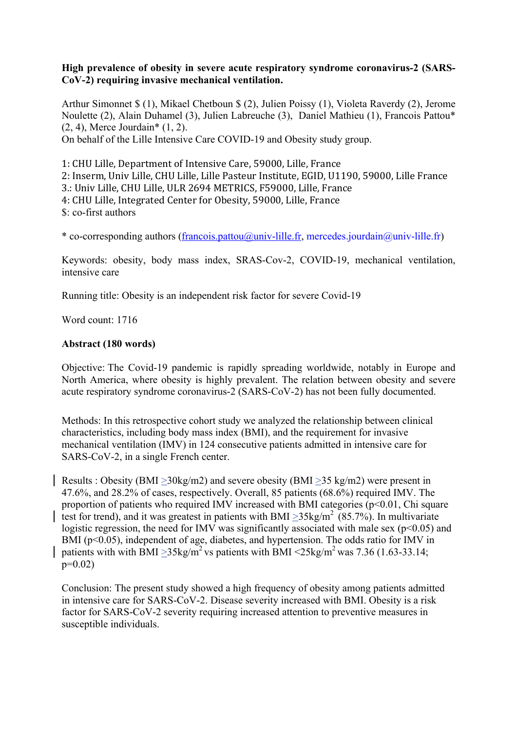# **High prevalence of obesity in severe acute respiratory syndrome coronavirus-2 (SARS-CoV-2) requiring invasive mechanical ventilation.**

Arthur Simonnet \$ (1), Mikael Chetboun \$ (2), Julien Poissy (1), Violeta Raverdy (2), Jerome Noulette (2), Alain Duhamel (3), Julien Labreuche (3), Daniel Mathieu (1), Francois Pattou\* (2, 4), Merce Jourdain\* (1, 2).

On behalf of the Lille Intensive Care COVID-19 and Obesity study group.

1: CHU Lille, Department of Intensive Care, 59000, Lille, France 2: Inserm, Univ Lille, CHU Lille, Lille Pasteur Institute, EGID, U1190, 59000, Lille France 3.: Univ Lille, CHU Lille, ULR 2694 METRICS, F59000, Lille, France 4: CHU Lille, Integrated Center for Obesity, 59000, Lille, France \$: co-first authors

\* co-corresponding authors (francois.pattou@univ-lille.fr, mercedes.jourdain@univ-lille.fr)

Keywords: obesity, body mass index, SRAS-Cov-2, COVID-19, mechanical ventilation, intensive care

Running title: Obesity is an independent risk factor for severe Covid-19

Word count: 1716

# **Abstract (180 words)**

Objective: The Covid-19 pandemic is rapidly spreading worldwide, notably in Europe and North America, where obesity is highly prevalent. The relation between obesity and severe acute respiratory syndrome coronavirus-2 (SARS-CoV-2) has not been fully documented.

Methods: In this retrospective cohort study we analyzed the relationship between clinical characteristics, including body mass index (BMI), and the requirement for invasive mechanical ventilation (IMV) in 124 consecutive patients admitted in intensive care for SARS-CoV-2, in a single French center.

Results : Obesity (BMI >30kg/m2) and severe obesity (BMI >35 kg/m2) were present in 47.6%, and 28.2% of cases, respectively. Overall, 85 patients (68.6%) required IMV. The proportion of patients who required IMV increased with BMI categories  $(p<0.01$ , Chi square test for trend), and it was greatest in patients with BMI  $\geq$ 35kg/m<sup>2</sup> (85.7%). In multivariate logistic regression, the need for IMV was significantly associated with male sex ( $p<0.05$ ) and BMI (p<0.05), independent of age, diabetes, and hypertension. The odds ratio for IMV in patients with with BMI  $\geq$ 35kg/m<sup>2</sup> vs patients with BMI <25kg/m<sup>2</sup> was 7.36 (1.63-33.14; p=0.02)

Conclusion: The present study showed a high frequency of obesity among patients admitted in intensive care for SARS-CoV-2. Disease severity increased with BMI. Obesity is a risk factor for SARS-CoV-2 severity requiring increased attention to preventive measures in susceptible individuals.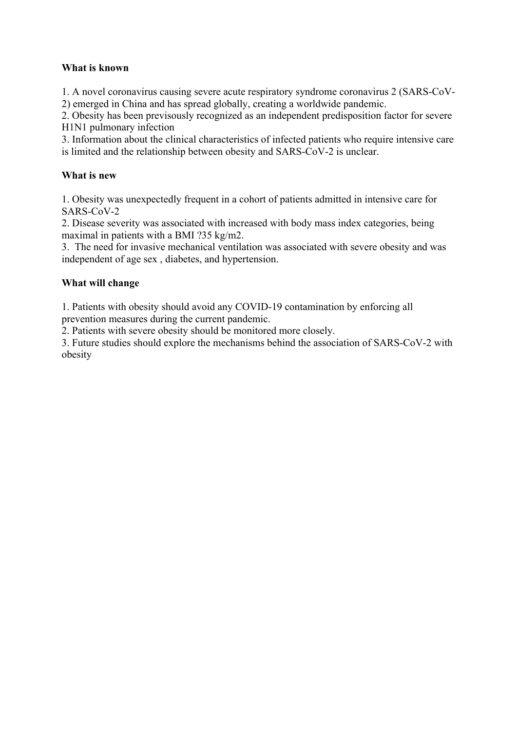# **What is known**

1. A novel coronavirus causing severe acute respiratory syndrome coronavirus 2 (SARS-CoV-2) emerged in China and has spread globally, creating a worldwide pandemic.

2. Obesity has been previsously recognized as an independent predisposition factor for severe H1N1 pulmonary infection

3. Information about the clinical characteristics of infected patients who require intensive care is limited and the relationship between obesity and SARS-CoV-2 is unclear.

# **What is new**

1. Obesity was unexpectedly frequent in a cohort of patients admitted in intensive care for SARS-CoV-2

2. Disease severity was associated with increased with body mass index categories, being maximal in patients with a BMI ?35 kg/m2.

3. The need for invasive mechanical ventilation was associated with severe obesity and was independent of age sex , diabetes, and hypertension.

# **What will change**

1. Patients with obesity should avoid any COVID-19 contamination by enforcing all prevention measures during the current pandemic.

2. Patients with severe obesity should be monitored more closely.

3. Future studies should explore the mechanisms behind the association of SARS-CoV-2 with obesity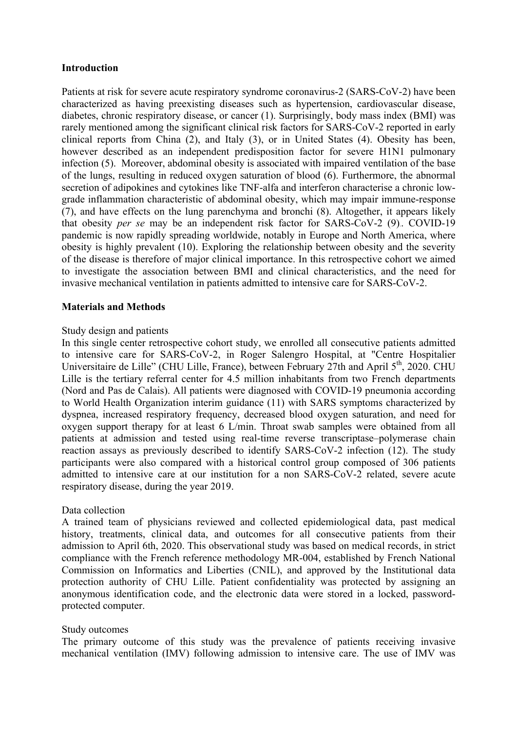## **Introduction**

Patients at risk for severe acute respiratory syndrome coronavirus-2 (SARS-CoV-2) have been characterized as having preexisting diseases such as hypertension, cardiovascular disease, diabetes, chronic respiratory disease, or cancer (1). Surprisingly, body mass index (BMI) was rarely mentioned among the significant clinical risk factors for SARS-CoV-2 reported in early clinical reports from China (2), and Italy (3), or in United States (4). Obesity has been, however described as an independent predisposition factor for severe H1N1 pulmonary infection (5). Moreover, abdominal obesity is associated with impaired ventilation of the base of the lungs, resulting in reduced oxygen saturation of blood (6). Furthermore, the abnormal secretion of adipokines and cytokines like TNF-alfa and interferon characterise a chronic lowgrade inflammation characteristic of abdominal obesity, which may impair immune-response (7), and have effects on the lung parenchyma and bronchi (8). Altogether, it appears likely that obesity *per se* may be an independent risk factor for SARS-CoV-2 (9).. COVID-19 pandemic is now rapidly spreading worldwide, notably in Europe and North America, where obesity is highly prevalent (10). Exploring the relationship between obesity and the severity of the disease is therefore of major clinical importance. In this retrospective cohort we aimed to investigate the association between BMI and clinical characteristics, and the need for invasive mechanical ventilation in patients admitted to intensive care for SARS-CoV-2.

# **Materials and Methods**

## Study design and patients

In this single center retrospective cohort study, we enrolled all consecutive patients admitted to intensive care for SARS-CoV-2, in Roger Salengro Hospital, at "Centre Hospitalier Universitaire de Lille" (CHU Lille, France), between February 27th and April 5<sup>th</sup>, 2020. CHU Lille is the tertiary referral center for 4.5 million inhabitants from two French departments (Nord and Pas de Calais). All patients were diagnosed with COVID-19 pneumonia according to World Health Organization interim guidance (11) with SARS symptoms characterized by dyspnea, increased respiratory frequency, decreased blood oxygen saturation, and need for oxygen support therapy for at least 6 L/min. Throat swab samples were obtained from all patients at admission and tested using real-time reverse transcriptase–polymerase chain reaction assays as previously described to identify SARS-CoV-2 infection (12). The study participants were also compared with a historical control group composed of 306 patients admitted to intensive care at our institution for a non SARS-CoV-2 related, severe acute respiratory disease, during the year 2019.

## Data collection

A trained team of physicians reviewed and collected epidemiological data, past medical history, treatments, clinical data, and outcomes for all consecutive patients from their admission to April 6th, 2020. This observational study was based on medical records, in strict compliance with the French reference methodology MR-004, established by French National Commission on Informatics and Liberties (CNIL), and approved by the Institutional data protection authority of CHU Lille. Patient confidentiality was protected by assigning an anonymous identification code, and the electronic data were stored in a locked, passwordprotected computer.

## Study outcomes

The primary outcome of this study was the prevalence of patients receiving invasive mechanical ventilation (IMV) following admission to intensive care. The use of IMV was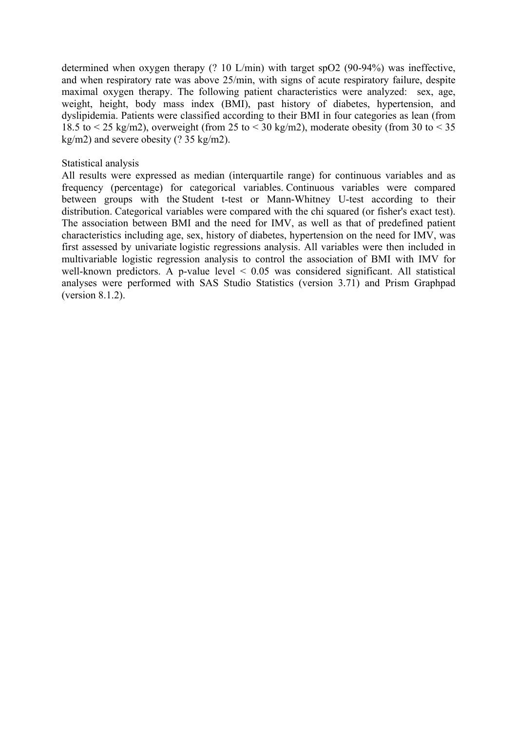determined when oxygen therapy (? 10 L/min) with target spO2 (90-94%) was ineffective, and when respiratory rate was above 25/min, with signs of acute respiratory failure, despite maximal oxygen therapy. The following patient characteristics were analyzed: sex, age, weight, height, body mass index (BMI), past history of diabetes, hypertension, and dyslipidemia. Patients were classified according to their BMI in four categories as lean (from 18.5 to  $\le$  25 kg/m2), overweight (from 25 to  $\le$  30 kg/m2), moderate obesity (from 30 to  $\le$  35 kg/m2) and severe obesity (? 35 kg/m2).

#### Statistical analysis

All results were expressed as median (interquartile range) for continuous variables and as frequency (percentage) for categorical variables. Continuous variables were compared between groups with the Student t-test or Mann-Whitney U-test according to their distribution. Categorical variables were compared with the chi squared (or fisher's exact test). The association between BMI and the need for IMV, as well as that of predefined patient characteristics including age, sex, history of diabetes, hypertension on the need for IMV, was first assessed by univariate logistic regressions analysis. All variables were then included in multivariable logistic regression analysis to control the association of BMI with IMV for well-known predictors. A p-value level  $\leq 0.05$  was considered significant. All statistical analyses were performed with SAS Studio Statistics (version 3.71) and Prism Graphpad (version 8.1.2).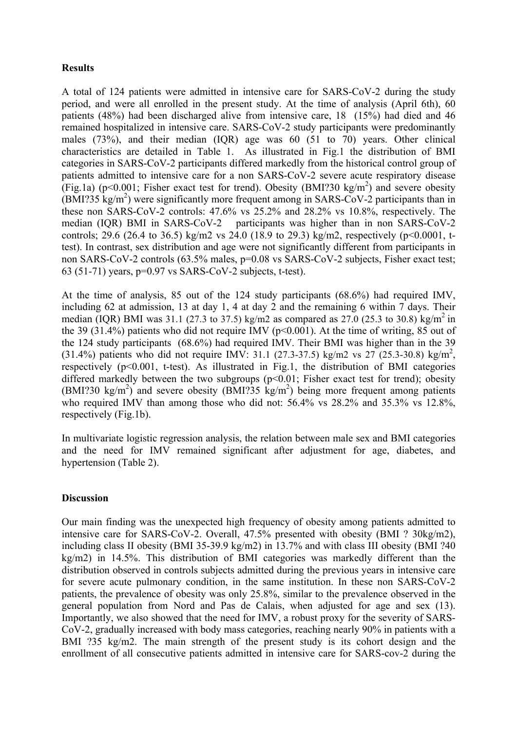# **Results**

A total of 124 patients were admitted in intensive care for SARS-CoV-2 during the study period, and were all enrolled in the present study. At the time of analysis (April 6th), 60 patients (48%) had been discharged alive from intensive care, 18 (15%) had died and 46 remained hospitalized in intensive care. SARS-CoV-2 study participants were predominantly males (73%), and their median (IQR) age was 60 (51 to 70) years. Other clinical characteristics are detailed in Table 1. As illustrated in Fig.1 the distribution of BMI categories in SARS-CoV-2 participants differed markedly from the historical control group of patients admitted to intensive care for a non SARS-CoV-2 severe acute respiratory disease (Fig.1a) ( $p$ <0.001; Fisher exact test for trend). Obesity (BMI?30 kg/m<sup>2</sup>) and severe obesity  $(BMI$ ?35 kg/m<sup>2</sup>) were significantly more frequent among in SARS-CoV-2 participants than in these non SARS-CoV-2 controls: 47.6% vs 25.2% and 28.2% vs 10.8%, respectively. The median (IQR) BMI in SARS-CoV-2 participants was higher than in non SARS-CoV-2 controls; 29.6 (26.4 to 36.5) kg/m2 vs 24.0 (18.9 to 29.3) kg/m2, respectively (p<0.0001, ttest). In contrast, sex distribution and age were not significantly different from participants in non SARS-CoV-2 controls (63.5% males, p=0.08 vs SARS-CoV-2 subjects, Fisher exact test; 63 (51-71) years, p=0.97 vs SARS-CoV-2 subjects, t-test).

At the time of analysis, 85 out of the 124 study participants (68.6%) had required IMV, including 62 at admission, 13 at day 1, 4 at day 2 and the remaining 6 within 7 days. Their median (IOR) BMI was 31.1 (27.3 to 37.5) kg/m2 as compared as 27.0 (25.3 to 30.8) kg/m<sup>2</sup> in the 39 (31.4%) patients who did not require IMV ( $p<0.001$ ). At the time of writing, 85 out of the 124 study participants (68.6%) had required IMV. Their BMI was higher than in the 39  $(31.4%)$  patients who did not require IMV: 31.1 (27.3-37.5) kg/m2 vs 27 (25.3-30.8) kg/m<sup>2</sup>, respectively (p<0.001, t-test). As illustrated in Fig.1, the distribution of BMI categories differed markedly between the two subgroups  $(p<0.01$ ; Fisher exact test for trend); obesity  $(BMI?30 kg/m<sup>2</sup>)$  and severe obesity  $(BMI?35 kg/m<sup>2</sup>)$  being more frequent among patients who required IMV than among those who did not: 56.4% vs 28.2% and 35.3% vs 12.8%, respectively (Fig.1b).

In multivariate logistic regression analysis, the relation between male sex and BMI categories and the need for IMV remained significant after adjustment for age, diabetes, and hypertension (Table 2).

## **Discussion**

Our main finding was the unexpected high frequency of obesity among patients admitted to intensive care for SARS-CoV-2. Overall, 47.5% presented with obesity (BMI ? 30kg/m2), including class II obesity (BMI 35-39.9 kg/m2) in 13.7% and with class III obesity (BMI ?40 kg/m2) in 14.5%. This distribution of BMI categories was markedly different than the distribution observed in controls subjects admitted during the previous years in intensive care for severe acute pulmonary condition, in the same institution. In these non SARS-CoV-2 patients, the prevalence of obesity was only 25.8%, similar to the prevalence observed in the general population from Nord and Pas de Calais, when adjusted for age and sex (13). Importantly, we also showed that the need for IMV, a robust proxy for the severity of SARS-CoV-2, gradually increased with body mass categories, reaching nearly 90% in patients with a BMI ?35 kg/m2. The main strength of the present study is its cohort design and the enrollment of all consecutive patients admitted in intensive care for SARS-cov-2 during the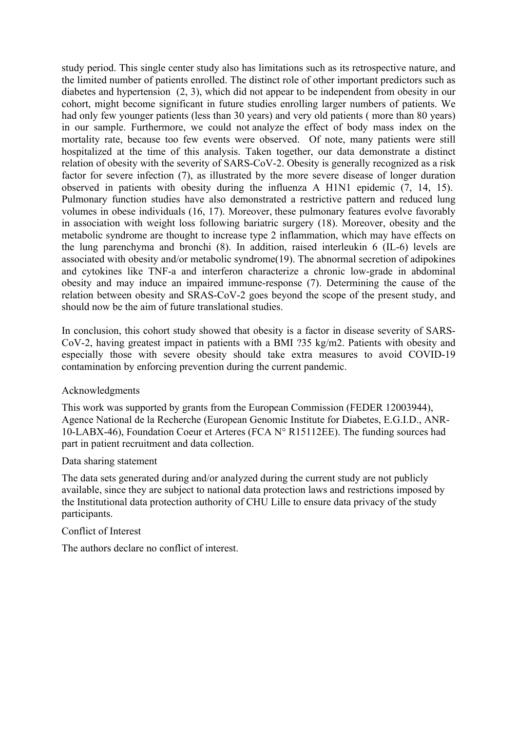study period. This single center study also has limitations such as its retrospective nature, and the limited number of patients enrolled. The distinct role of other important predictors such as diabetes and hypertension (2, 3), which did not appear to be independent from obesity in our cohort, might become significant in future studies enrolling larger numbers of patients. We had only few younger patients (less than 30 years) and very old patients ( more than 80 years) in our sample. Furthermore, we could not analyze the effect of body mass index on the mortality rate, because too few events were observed. Of note, many patients were still hospitalized at the time of this analysis. Taken together, our data demonstrate a distinct relation of obesity with the severity of SARS-CoV-2. Obesity is generally recognized as a risk factor for severe infection (7), as illustrated by the more severe disease of longer duration observed in patients with obesity during the influenza A H1N1 epidemic (7, 14, 15). Pulmonary function studies have also demonstrated a restrictive pattern and reduced lung volumes in obese individuals (16, 17). Moreover, these pulmonary features evolve favorably in association with weight loss following bariatric surgery (18). Moreover, obesity and the metabolic syndrome are thought to increase type 2 inflammation, which may have effects on the lung parenchyma and bronchi (8). In addition, raised interleukin 6 (IL-6) levels are associated with obesity and/or metabolic syndrome(19). The abnormal secretion of adipokines and cytokines like TNF-a and interferon characterize a chronic low-grade in abdominal obesity and may induce an impaired immune-response (7). Determining the cause of the relation between obesity and SRAS-CoV-2 goes beyond the scope of the present study, and should now be the aim of future translational studies.

In conclusion, this cohort study showed that obesity is a factor in disease severity of SARS-CoV-2, having greatest impact in patients with a BMI ?35 kg/m2. Patients with obesity and especially those with severe obesity should take extra measures to avoid COVID-19 contamination by enforcing prevention during the current pandemic.

## Acknowledgments

This work was supported by grants from the European Commission (FEDER 12003944), Agence National de la Recherche (European Genomic Institute for Diabetes, E.G.I.D., ANR-10-LABX-46), Foundation Coeur et Arteres (FCA N° R15112EE). The funding sources had part in patient recruitment and data collection.

## Data sharing statement

The data sets generated during and/or analyzed during the current study are not publicly available, since they are subject to national data protection laws and restrictions imposed by the Institutional data protection authority of CHU Lille to ensure data privacy of the study participants.

## Conflict of Interest

The authors declare no conflict of interest.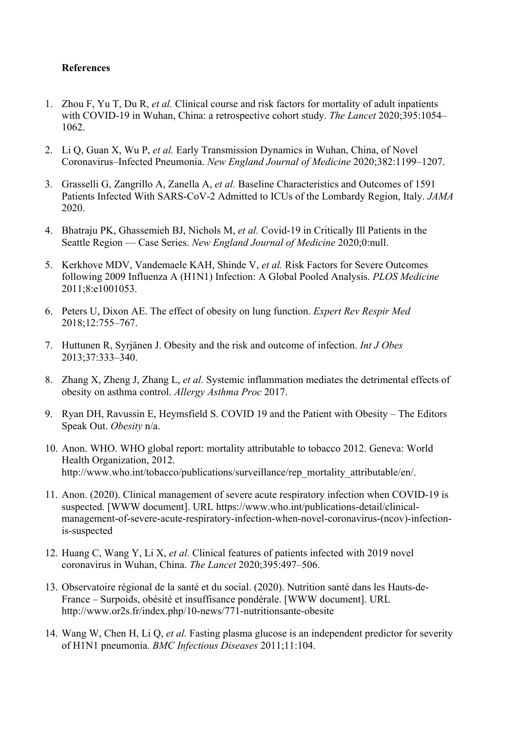# **References**

- 1. Zhou F, Yu T, Du R, *et al.* Clinical course and risk factors for mortality of adult inpatients with COVID-19 in Wuhan, China: a retrospective cohort study. *The Lancet* 2020;395:1054– 1062.
- 2. Li Q, Guan X, Wu P, *et al.* Early Transmission Dynamics in Wuhan, China, of Novel Coronavirus–Infected Pneumonia. *New England Journal of Medicine* 2020;382:1199–1207.
- 3. Grasselli G, Zangrillo A, Zanella A, *et al.* Baseline Characteristics and Outcomes of 1591 Patients Infected With SARS-CoV-2 Admitted to ICUs of the Lombardy Region, Italy. *JAMA* 2020.
- 4. Bhatraju PK, Ghassemieh BJ, Nichols M, *et al.* Covid-19 in Critically Ill Patients in the Seattle Region — Case Series. *New England Journal of Medicine* 2020;0:null.
- 5. Kerkhove MDV, Vandemaele KAH, Shinde V, *et al.* Risk Factors for Severe Outcomes following 2009 Influenza A (H1N1) Infection: A Global Pooled Analysis. *PLOS Medicine* 2011;8:e1001053.
- 6. Peters U, Dixon AE. The effect of obesity on lung function. *Expert Rev Respir Med* 2018;12:755–767.
- 7. Huttunen R, Syrjänen J. Obesity and the risk and outcome of infection. *Int J Obes* 2013;37:333–340.
- 8. Zhang X, Zheng J, Zhang L, *et al.* Systemic inflammation mediates the detrimental effects of obesity on asthma control. *Allergy Asthma Proc* 2017.
- 9. Ryan DH, Ravussin E, Heymsfield S. COVID 19 and the Patient with Obesity The Editors Speak Out. *Obesity* n/a.
- 10. Anon. WHO. WHO global report: mortality attributable to tobacco 2012. Geneva: World Health Organization, 2012. http://www.who.int/tobacco/publications/surveillance/rep\_mortality\_attributable/en/.
- 11. Anon. (2020). Clinical management of severe acute respiratory infection when COVID-19 is suspected. [WWW document]. URL https://www.who.int/publications-detail/clinicalmanagement-of-severe-acute-respiratory-infection-when-novel-coronavirus-(ncov)-infectionis-suspected
- 12. Huang C, Wang Y, Li X, *et al.* Clinical features of patients infected with 2019 novel coronavirus in Wuhan, China. *The Lancet* 2020;395:497–506.
- 13. Observatoire régional de la santé et du social. (2020). Nutrition santé dans les Hauts-de-France – Surpoids, obésité et insuffisance pondérale. [WWW document]. URL http://www.or2s.fr/index.php/10-news/771-nutritionsante-obesite
- 14. Wang W, Chen H, Li Q, *et al.* Fasting plasma glucose is an independent predictor for severity of H1N1 pneumonia. *BMC Infectious Diseases* 2011;11:104.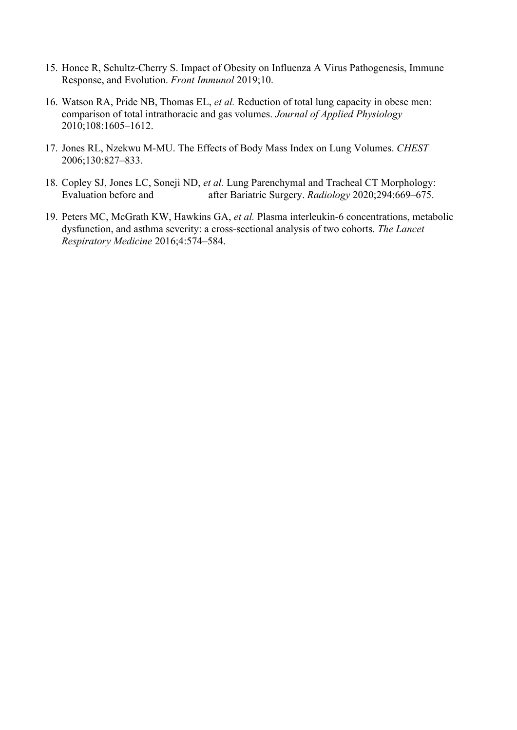- 15. Honce R, Schultz-Cherry S. Impact of Obesity on Influenza A Virus Pathogenesis, Immune Response, and Evolution. *Front Immunol* 2019;10.
- 16. Watson RA, Pride NB, Thomas EL, *et al.* Reduction of total lung capacity in obese men: comparison of total intrathoracic and gas volumes. *Journal of Applied Physiology* 2010;108:1605–1612.
- 17. Jones RL, Nzekwu M-MU. The Effects of Body Mass Index on Lung Volumes. *CHEST* 2006;130:827–833.
- 18. Copley SJ, Jones LC, Soneji ND, *et al.* Lung Parenchymal and Tracheal CT Morphology: Evaluation before and after Bariatric Surgery. *Radiology* 2020;294:669–675.
- 19. Peters MC, McGrath KW, Hawkins GA, *et al.* Plasma interleukin-6 concentrations, metabolic dysfunction, and asthma severity: a cross-sectional analysis of two cohorts. *The Lancet Respiratory Medicine* 2016;4:574–584.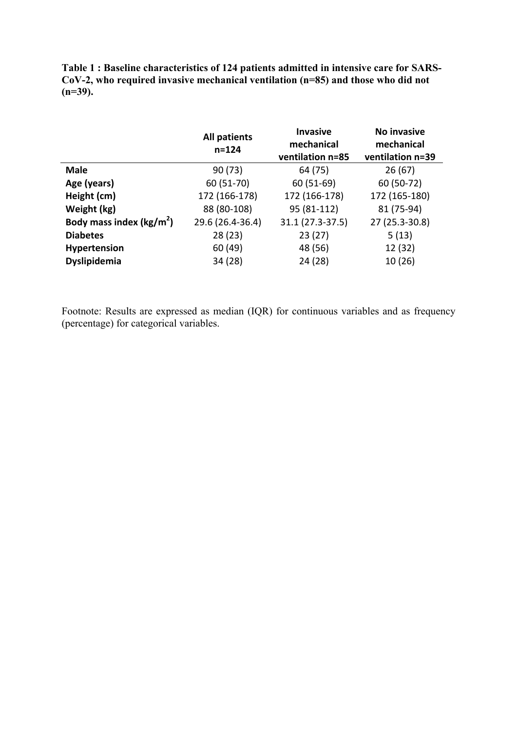**Table 1 : Baseline characteristics of 124 patients admitted in intensive care for SARS-CoV-2, who required invasive mechanical ventilation (n=85) and those who did not (n=39).**

|                                     | <b>All patients</b><br>$n = 124$ | <b>Invasive</b><br>mechanical<br>ventilation n=85 | No invasive<br>mechanical<br>ventilation n=39 |  |
|-------------------------------------|----------------------------------|---------------------------------------------------|-----------------------------------------------|--|
| <b>Male</b>                         | 90(73)                           | 64 (75)                                           | 26(67)                                        |  |
| Age (years)                         | 60 (51-70)                       | $60(51-69)$                                       | 60 (50-72)                                    |  |
| Height (cm)                         | 172 (166-178)                    | 172 (166-178)                                     | 172 (165-180)                                 |  |
| Weight (kg)                         | 88 (80-108)                      | 95 (81-112)                                       | 81 (75-94)                                    |  |
| Body mass index ( $\text{kg/m}^2$ ) | 29.6 (26.4-36.4)                 | 31.1 (27.3-37.5)                                  | 27 (25.3-30.8)                                |  |
| <b>Diabetes</b>                     | 28(23)                           | 23(27)                                            | 5(13)                                         |  |
| Hypertension                        | 60 (49)                          | 48 (56)                                           | 12 (32)                                       |  |
| Dyslipidemia                        | 34 (28)                          | 24 (28)                                           | 10 (26)                                       |  |

Footnote: Results are expressed as median (IQR) for continuous variables and as frequency (percentage) for categorical variables.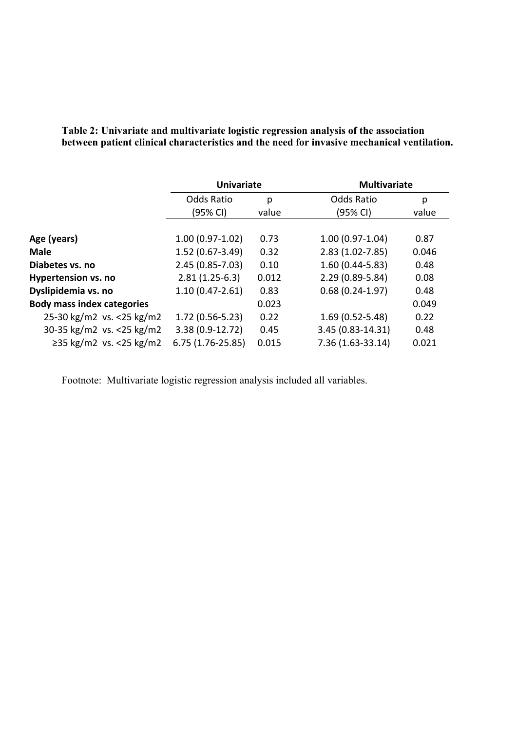|                                   | <b>Univariate</b>   |       |                     | <b>Multivariate</b> |  |
|-----------------------------------|---------------------|-------|---------------------|---------------------|--|
|                                   | <b>Odds Ratio</b>   | p     | <b>Odds Ratio</b>   | p                   |  |
|                                   | (95% CI)            | value | (95% CI)            | value               |  |
| Age (years)                       | $1.00(0.97-1.02)$   | 0.73  | $1.00(0.97-1.04)$   | 0.87                |  |
| <b>Male</b>                       | $1.52(0.67-3.49)$   | 0.32  | $2.83(1.02 - 7.85)$ | 0.046               |  |
| Diabetes vs. no                   | $2.45(0.85 - 7.03)$ | 0.10  | $1.60(0.44 - 5.83)$ | 0.48                |  |
| <b>Hypertension vs. no</b>        | $2.81(1.25-6.3)$    | 0.012 | $2.29(0.89 - 5.84)$ | 0.08                |  |
| Dyslipidemia vs. no               | $1.10(0.47 - 2.61)$ | 0.83  | $0.68(0.24-1.97)$   | 0.48                |  |
| <b>Body mass index categories</b> |                     | 0.023 |                     | 0.049               |  |
| 25-30 kg/m2 vs. < 25 kg/m2        | $1.72(0.56-5.23)$   | 0.22  | $1.69(0.52 - 5.48)$ | 0.22                |  |
| 30-35 kg/m2 vs. <25 kg/m2         | 3.38 (0.9-12.72)    | 0.45  | 3.45 (0.83-14.31)   | 0.48                |  |
| ≥35 kg/m2 vs. <25 kg/m2           | 6.75 (1.76-25.85)   | 0.015 | 7.36 (1.63-33.14)   | 0.021               |  |

**Table 2: Univariate and multivariate logistic regression analysis of the association between patient clinical characteristics and the need for invasive mechanical ventilation.**

Footnote: Multivariate logistic regression analysis included all variables.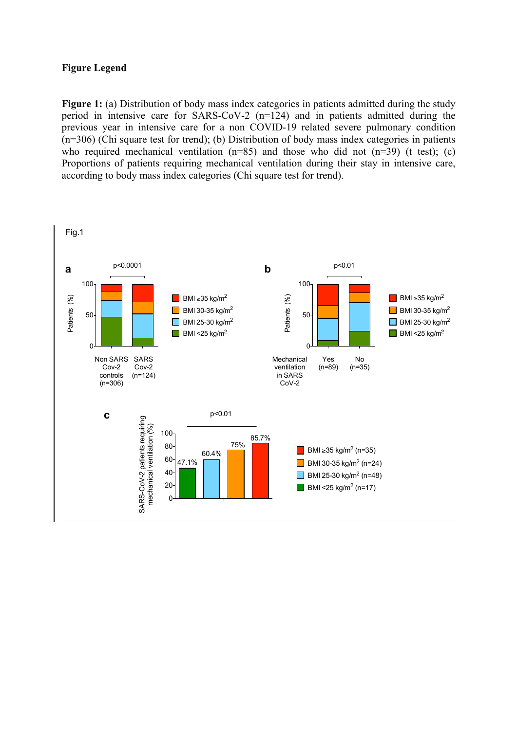## **Figure Legend**

**Figure 1:** (a) Distribution of body mass index categories in patients admitted during the study period in intensive care for SARS-CoV-2 (n=124) and in patients admitted during the previous year in intensive care for a non COVID-19 related severe pulmonary condition (n=306) (Chi square test for trend); (b) Distribution of body mass index categories in patients who required mechanical ventilation  $(n=85)$  and those who did not  $(n=39)$  (t test); (c) Proportions of patients requiring mechanical ventilation during their stay in intensive care, according to body mass index categories (Chi square test for trend).